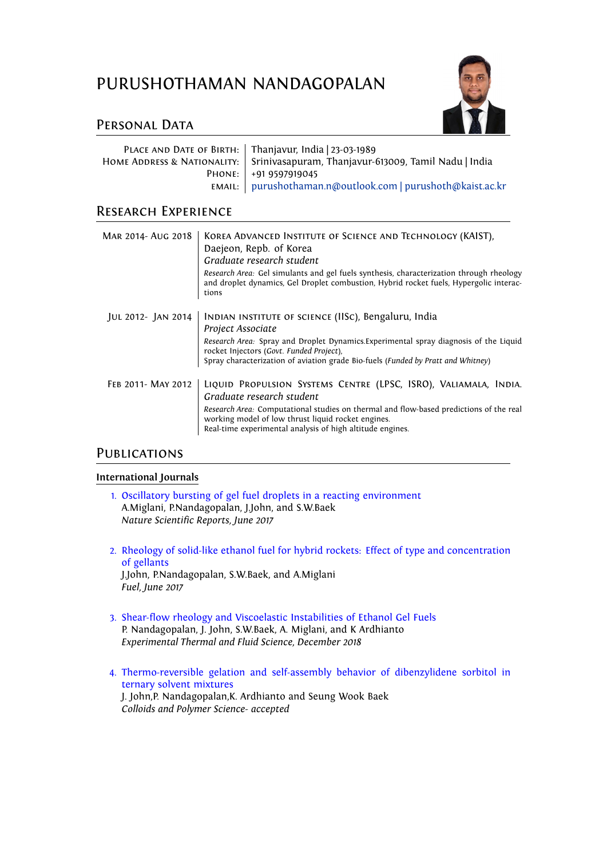# PURUSHOTHAMAN NANDAGOPALAN



# PERSONAL DATA

| PLACE AND DATE OF BIRTH:   Thanjavur, India   23-03-1989                           |
|------------------------------------------------------------------------------------|
| HOME ADDRESS & NATIONALITY:   Srinivasapuram, Thanjavur-613009, Tamil Nadu   India |
| PHONE:   +91 9597919045                                                            |
| EMAIL:   purushothaman.n@outlook.com   purushoth@kaist.ac.kr                       |

## Research Experience

| MAR 2014- AUG 2018 | KOREA ADVANCED INSTITUTE OF SCIENCE AND TECHNOLOGY (KAIST),<br>Daejeon, Repb. of Korea<br>Graduate research student<br>Research Area: Gel simulants and gel fuels synthesis, characterization through rheology<br>and droplet dynamics, Gel Droplet combustion, Hybrid rocket fuels, Hypergolic interac-<br>tions |
|--------------------|-------------------------------------------------------------------------------------------------------------------------------------------------------------------------------------------------------------------------------------------------------------------------------------------------------------------|
| JUL 2012- JAN 2014 | INDIAN INSTITUTE OF SCIENCE (IISC), Bengaluru, India<br>Project Associate<br>Research Area: Spray and Droplet Dynamics. Experimental spray diagnosis of the Liquid<br>rocket Injectors (Govt. Funded Project),<br>Spray characterization of aviation grade Bio-fuels (Funded by Pratt and Whitney)                |
| FEB 2011- MAY 2012 | LIQUID PROPULSION SYSTEMS CENTRE (LPSC, ISRO), VALIAMALA, INDIA.<br>Graduate research student<br>Research Area: Computational studies on thermal and flow-based predictions of the real<br>working model of low thrust liquid rocket engines.<br>Real-time experimental analysis of high altitude engines.        |

## **PUBLICATIONS**

#### **International Journals**

- 1. Oscillatory bursting of gel fuel droplets in a reacting environment A.Miglani, P.Nandagopalan, J.John, and S.W.Baek *Nature Scientific Reports, June 2017*
- 2. Rheology of solid-like ethanol fuel for hybrid rockets: Effect of type and concentration of gellants J.John, P.Nandagopalan, S.W.Baek, and A.Miglani *Fuel, June 2017*
- 3. Shear-flow rheology and Viscoelastic Instabilities of Ethanol Gel Fuels P. Nandagopalan, J. John, S.W.Baek, A. Miglani, and K Ardhianto *Experimental Thermal and Fluid Science, December 2018*
- 4. Thermo-reversible gelation and self-assembly behavior of dibenzylidene sorbitol in ternary solvent mixtures J. John,P. Nandagopalan,K. Ardhianto and Seung Wook Baek *Colloids and Polymer Science- accepted*